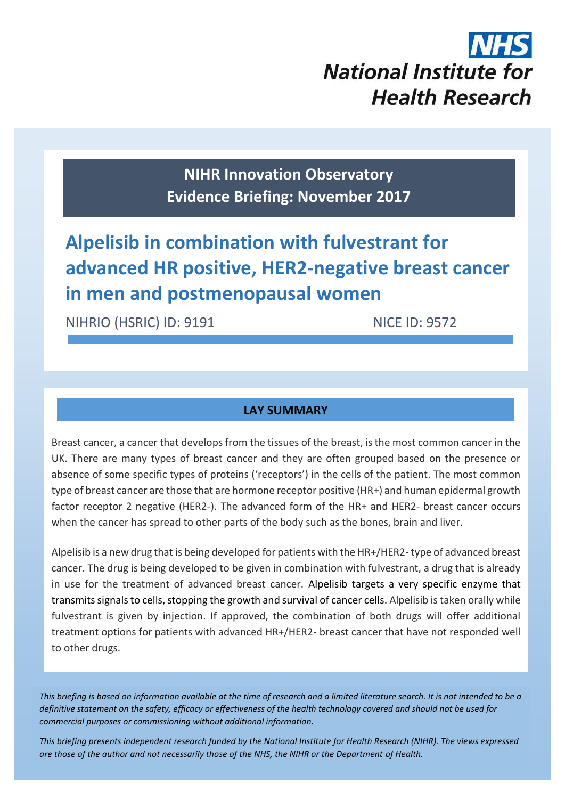# **National Institute for Health Research**

**NIHR Innovation Observatory Evidence Briefing: November 2017**

# **Alpelisib in combination with fulvestrant for advanced HR positive, HER2-negative breast cancer in men and postmenopausal women**

NIHRIO (HSRIC) ID: 9191 NICE ID: 9572

# **LAY SUMMARY**

Breast cancer, a cancer that develops from the tissues of the breast, is the most common cancer in the UK. There are many types of breast cancer and they are often grouped based on the presence or absence of some specific types of proteins ('receptors') in the cells of the patient. The most common type of breast cancer are those that are hormone receptor positive (HR+) and human epidermal growth factor receptor 2 negative (HER2-). The advanced form of the HR+ and HER2- breast cancer occurs when the cancer has spread to other parts of the body such as the bones, brain and liver.

Alpelisib is a new drug that is being developed for patients with the HR+/HER2- type of advanced breast cancer. The drug is being developed to be given in combination with fulvestrant, a drug that is already in use for the treatment of advanced breast cancer. Alpelisib targets a very specific enzyme that transmits signals to cells, stopping the growth and survival of cancer cells. Alpelisib is taken orally while fulvestrant is given by injection. If approved, the combination of both drugs will offer additional treatment options for patients with advanced HR+/HER2- breast cancer that have not responded well to other drugs.

*This briefing is based on information available at the time of research and a limited literature search. It is not intended to be a definitive statement on the safety, efficacy or effectiveness of the health technology covered and should not be used for commercial purposes or commissioning without additional information.*

1 *This briefing presents independent research funded by the National Institute for Health Research (NIHR). The views expressed are those of the author and not necessarily those of the NHS, the NIHR or the Department of Health.*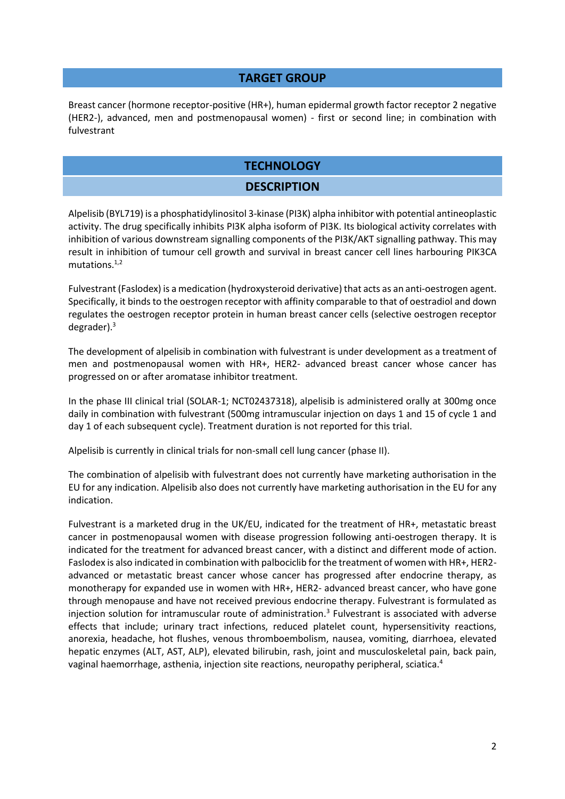#### **TARGET GROUP**

Breast cancer (hormone receptor-positive (HR+), human epidermal growth factor receptor 2 negative (HER2-), advanced, men and postmenopausal women) - first or second line; in combination with fulvestrant

# **TECHNOLOGY**

#### **DESCRIPTION**

Alpelisib (BYL719) is a phosphatidylinositol 3-kinase (PI3K) alpha inhibitor with potential antineoplastic activity. The drug specifically inhibits PI3K alpha isoform of PI3K. Its biological activity correlates with inhibition of various downstream signalling components of the PI3K/AKT signalling pathway. This may result in inhibition of tumour cell growth and survival in breast cancer cell lines harbouring PIK3CA mutations. $1,2$ 

Fulvestrant (Faslodex) is a medication (hydroxysteroid derivative) that acts as an anti-oestrogen agent. Specifically, it binds to the oestrogen receptor with affinity comparable to that of oestradiol and down regulates the oestrogen receptor protein in human breast cancer cells (selective oestrogen receptor degrader).<sup>3</sup>

<span id="page-1-0"></span>The development of alpelisib in combination with fulvestrant is under development as a treatment of men and postmenopausal women with HR+, HER2- advanced breast cancer whose cancer has progressed on or after aromatase inhibitor treatment.

In the phase III clinical trial (SOLAR-1; NCT02437318), alpelisib is administered orally at 300mg once daily in combination with fulvestrant (500mg intramuscular injection on days 1 and 15 of cycle 1 and day 1 of each subsequent cycle). Treatment duration is not reported for this trial.

Alpelisib is currently in clinical trials for non-small cell lung cancer (phase II).

The combination of alpelisib with fulvestrant does not currently have marketing authorisation in the EU for any indication. Alpelisib also does not currently have marketing authorisation in the EU for any indication.

Fulvestrant is a marketed drug in the UK/EU, indicated for the treatment of HR+, metastatic breast cancer in postmenopausal women with disease progression following anti-oestrogen therapy. It is indicated for the treatment for advanced breast cancer, with a distinct and different mode of action. Faslodex is also indicated in combination with palbociclib for the treatment of women with HR+, HER2 advanced or metastatic breast cancer whose cancer has progressed after endocrine therapy, as monotherapy for expanded use in women with HR+, HER2- advanced breast cancer, who have gone through menopause and have not received previous endocrine therapy. Fulvestrant is formulated as injection solution for intramuscular route of administration.<sup>[3](#page-1-0)</sup> Fulvestrant is associated with adverse effects that include; urinary tract infections, reduced platelet count, hypersensitivity reactions, anorexia, headache, hot flushes, venous thromboembolism, nausea, vomiting, diarrhoea, elevated hepatic enzymes (ALT, AST, ALP), elevated bilirubin, rash, joint and musculoskeletal pain, back pain, vaginal haemorrhage, asthenia, injection site reactions, neuropathy peripheral, sciatica.4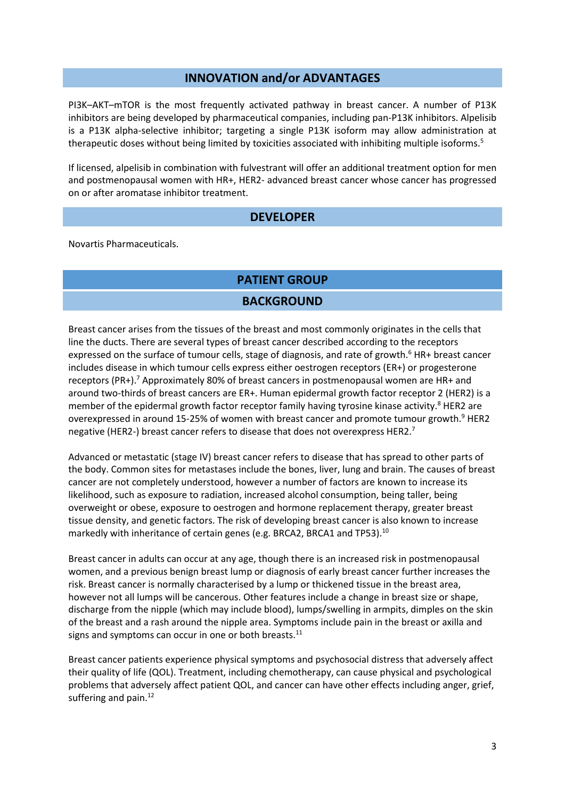#### **INNOVATION and/or ADVANTAGES**

PI3K–AKT–mTOR is the most frequently activated pathway in breast cancer. A number of P13K inhibitors are being developed by pharmaceutical companies, including pan-P13K inhibitors. Alpelisib is a P13K alpha-selective inhibitor; targeting a single P13K isoform may allow administration at therapeutic doses without being limited by toxicities associated with inhibiting multiple isoforms.<sup>5</sup>

If licensed, alpelisib in combination with fulvestrant will offer an additional treatment option for men and postmenopausal women with HR+, HER2- advanced breast cancer whose cancer has progressed on or after aromatase inhibitor treatment.

#### **DEVELOPER**

Novartis Pharmaceuticals.

# **PATIENT GROUP**

### **BACKGROUND**

<span id="page-2-0"></span>Breast cancer arises from the tissues of the breast and most commonly originates in the cells that line the ducts. There are several types of breast cancer described according to the receptors expressed on the surface of tumour cells, stage of diagnosis, and rate of growth.<sup>6</sup> HR+ breast cancer includes disease in which tumour cells express either oestrogen receptors (ER+) or progesterone receptors (PR+).<sup>7</sup> Approximately 80% of breast cancers in postmenopausal women are HR+ and around two-thirds of breast cancers are ER+. Human epidermal growth factor receptor 2 (HER2) is a member of the epidermal growth factor receptor family having tyrosine kinase activity.<sup>8</sup> HER2 are overexpressed in around 15-25% of women with breast cancer and promote tumour growth.<sup>9</sup> HER2 negative (HER2-) breast cancer refers to disease that does not overexpress HER2.<sup>[7](#page-2-0)</sup>

Advanced or metastatic (stage IV) breast cancer refers to disease that has spread to other parts of the body. Common sites for metastases include the bones, liver, lung and brain. The causes of breast cancer are not completely understood, however a number of factors are known to increase its likelihood, such as exposure to radiation, increased alcohol consumption, being taller, being overweight or obese, exposure to oestrogen and hormone replacement therapy, greater breast tissue density, and genetic factors. The risk of developing breast cancer is also known to increase markedly with inheritance of certain genes (e.g. BRCA2, BRCA1 and TP53).<sup>10</sup>

Breast cancer in adults can occur at any age, though there is an increased risk in postmenopausal women, and a previous benign breast lump or diagnosis of early breast cancer further increases the risk. Breast cancer is normally characterised by a lump or thickened tissue in the breast area, however not all lumps will be cancerous. Other features include a change in breast size or shape, discharge from the nipple (which may include blood), lumps/swelling in armpits, dimples on the skin of the breast and a rash around the nipple area. Symptoms include pain in the breast or axilla and signs and symptoms can occur in one or both breasts.<sup>11</sup>

Breast cancer patients experience physical symptoms and psychosocial distress that adversely affect their quality of life (QOL). Treatment, including chemotherapy, can cause physical and psychological problems that adversely affect patient QOL, and cancer can have other effects including anger, grief, suffering and pain. $^{12}$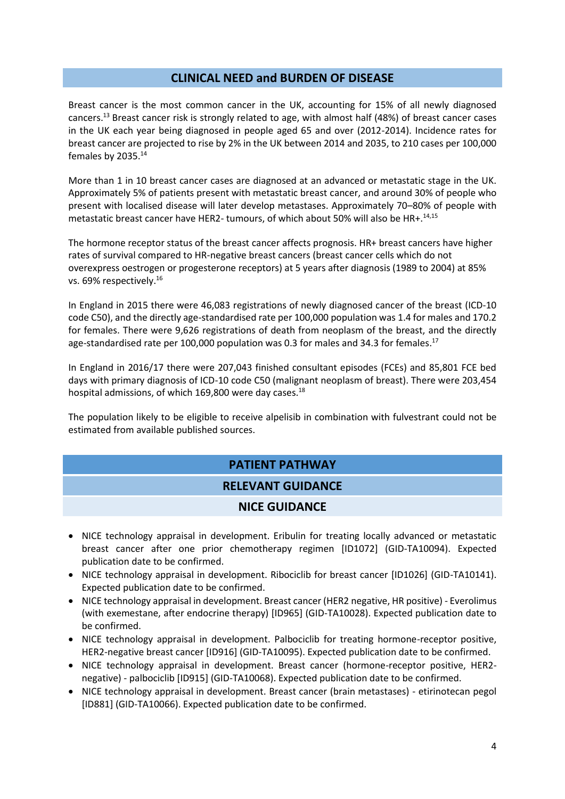### **CLINICAL NEED and BURDEN OF DISEASE**

Breast cancer is the most common cancer in the UK, accounting for 15% of all newly diagnosed cancers.<sup>13</sup> Breast cancer risk is strongly related to age, with almost half (48%) of breast cancer cases in the UK each year being diagnosed in people aged 65 and over (2012-2014). Incidence rates for breast cancer are projected to rise by 2% in the UK between 2014 and 2035, to 210 cases per 100,000 females by 2035.<sup>14</sup>

<span id="page-3-0"></span>More than 1 in 10 breast cancer cases are diagnosed at an advanced or metastatic stage in the UK. Approximately 5% of patients present with metastatic breast cancer, and around 30% of people who present with localised disease will later develop metastases. Approximately 70–80% of people with metastatic breast cancer have HER2- tumours, of which about 50% will also be HR+.<sup>[14,1](#page-3-0)5</sup>

The hormone receptor status of the breast cancer affects prognosis. HR+ breast cancers have higher rates of survival compared to HR‐negative breast cancers (breast cancer cells which do not overexpress oestrogen or progesterone receptors) at 5 years after diagnosis (1989 to 2004) at 85% vs. 69% respectively.<sup>16</sup>

In England in 2015 there were 46,083 registrations of newly diagnosed cancer of the breast (ICD-10 code C50), and the directly age-standardised rate per 100,000 population was 1.4 for males and 170.2 for females. There were 9,626 registrations of death from neoplasm of the breast, and the directly age-standardised rate per 100,000 population was 0.3 for males and 34.3 for females.<sup>17</sup>

In England in 2016/17 there were 207,043 finished consultant episodes (FCEs) and 85,801 FCE bed days with primary diagnosis of ICD-10 code C50 (malignant neoplasm of breast). There were 203,454 hospital admissions, of which 169,800 were day cases. $^{18}$ 

The population likely to be eligible to receive alpelisib in combination with fulvestrant could not be estimated from available published sources.

# **PATIENT PATHWAY RELEVANT GUIDANCE**

## **NICE GUIDANCE**

- NICE technology appraisal in development. Eribulin for treating locally advanced or metastatic breast cancer after one prior chemotherapy regimen [ID1072] (GID-TA10094). Expected publication date to be confirmed.
- NICE technology appraisal in development. Ribociclib for breast cancer [ID1026] (GID-TA10141). Expected publication date to be confirmed.
- NICE technology appraisal in development. Breast cancer (HER2 negative, HR positive) Everolimus (with exemestane, after endocrine therapy) [ID965] (GID-TA10028). Expected publication date to be confirmed.
- NICE technology appraisal in development. Palbociclib for treating hormone-receptor positive, HER2-negative breast cancer [ID916] (GID-TA10095). Expected publication date to be confirmed.
- NICE technology appraisal in development. Breast cancer (hormone-receptor positive, HER2negative) - palbociclib [ID915] (GID-TA10068). Expected publication date to be confirmed.
- NICE technology appraisal in development. Breast cancer (brain metastases) etirinotecan pegol [ID881] (GID-TA10066). Expected publication date to be confirmed.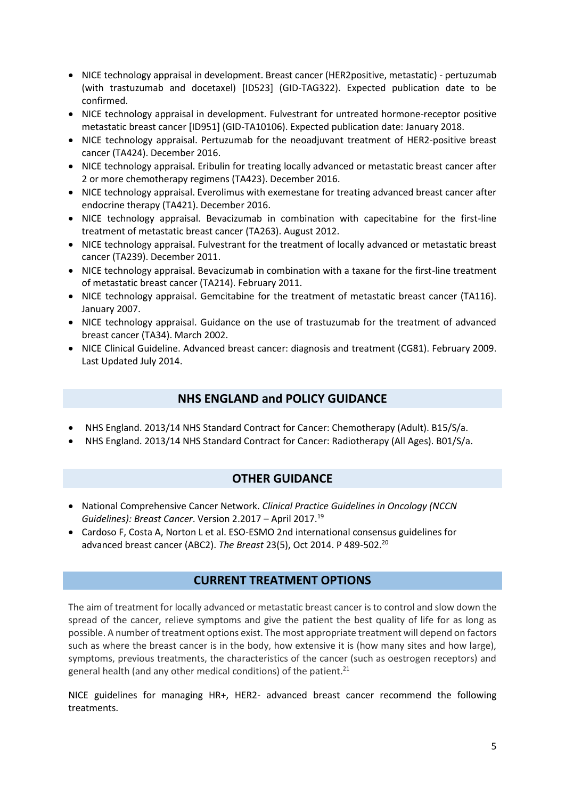- NICE technology appraisal in development. Breast cancer (HER2positive, metastatic) pertuzumab (with trastuzumab and docetaxel) [ID523] (GID-TAG322). Expected publication date to be confirmed.
- NICE technology appraisal in development. Fulvestrant for untreated hormone-receptor positive metastatic breast cancer [ID951] (GID-TA10106). Expected publication date: January 2018.
- NICE technology appraisal. Pertuzumab for the neoadjuvant treatment of HER2-positive breast cancer (TA424). December 2016.
- NICE technology appraisal. Eribulin for treating locally advanced or metastatic breast cancer after 2 or more chemotherapy regimens (TA423). December 2016.
- NICE technology appraisal. Everolimus with exemestane for treating advanced breast cancer after endocrine therapy (TA421). December 2016.
- NICE technology appraisal. Bevacizumab in combination with capecitabine for the first-line treatment of metastatic breast cancer (TA263). August 2012.
- NICE technology appraisal. Fulvestrant for the treatment of locally advanced or metastatic breast cancer (TA239). December 2011.
- NICE technology appraisal. Bevacizumab in combination with a taxane for the first-line treatment of metastatic breast cancer (TA214). February 2011.
- NICE technology appraisal. Gemcitabine for the treatment of metastatic breast cancer (TA116). January 2007.
- NICE technology appraisal. Guidance on the use of trastuzumab for the treatment of advanced breast cancer (TA34). March 2002.
- NICE Clinical Guideline. Advanced breast cancer: diagnosis and treatment (CG81). February 2009. Last Updated July 2014.

# **NHS ENGLAND and POLICY GUIDANCE**

- NHS England. 2013/14 NHS Standard Contract for Cancer: Chemotherapy (Adult). B15/S/a.
- NHS England. 2013/14 NHS Standard Contract for Cancer: Radiotherapy (All Ages). B01/S/a.

# **OTHER GUIDANCE**

- National Comprehensive Cancer Network. *Clinical Practice Guidelines in Oncology (NCCN Guidelines): Breast Cancer*. Version 2.2017 – April 2017.<sup>19</sup>
- Cardoso F, Costa A, Norton L et al. ESO-ESMO 2nd international consensus guidelines for advanced breast cancer (ABC2). *The Breast* 23(5), Oct 2014. P 489-502.<sup>20</sup>

## **CURRENT TREATMENT OPTIONS**

The aim of treatment for locally advanced or metastatic breast cancer is to control and slow down the spread of the cancer, relieve symptoms and give the patient the best quality of life for as long as possible. A number of treatment options exist. The most appropriate treatment will depend on factors such as where the breast cancer is in the body, how extensive it is (how many sites and how large), symptoms, previous treatments, the characteristics of the cancer (such as oestrogen receptors) and general health (and any other medical conditions) of the patient. $21$ 

NICE guidelines for managing HR+, HER2- advanced breast cancer recommend the following treatments.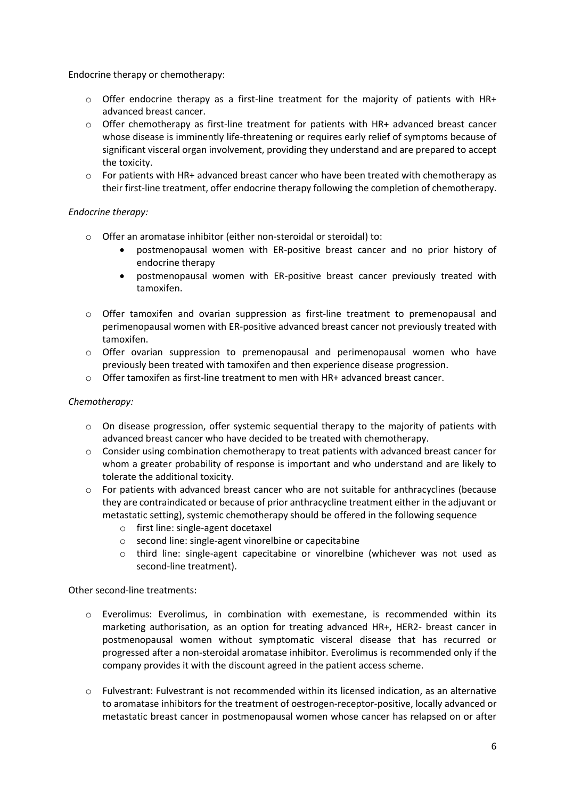Endocrine therapy or chemotherapy:

- $\circ$  Offer endocrine therapy as a first-line treatment for the majority of patients with HR+ advanced breast cancer.
- $\circ$  Offer chemotherapy as first-line treatment for patients with HR+ advanced breast cancer whose disease is imminently life-threatening or requires early relief of symptoms because of significant visceral organ involvement, providing they understand and are prepared to accept the toxicity.
- $\circ$  For patients with HR+ advanced breast cancer who have been treated with chemotherapy as their first-line treatment, offer endocrine therapy following the completion of chemotherapy.

#### *Endocrine therapy:*

- o Offer an aromatase inhibitor (either non-steroidal or steroidal) to:
	- postmenopausal women with ER-positive breast cancer and no prior history of endocrine therapy
	- postmenopausal women with ER-positive breast cancer previously treated with tamoxifen.
- $\circ$  Offer tamoxifen and ovarian suppression as first-line treatment to premenopausal and perimenopausal women with ER-positive advanced breast cancer not previously treated with tamoxifen.
- $\circ$  Offer ovarian suppression to premenopausal and perimenopausal women who have previously been treated with tamoxifen and then experience disease progression.
- $\circ$  Offer tamoxifen as first-line treatment to men with HR+ advanced breast cancer.

#### *Chemotherapy:*

- $\circ$  On disease progression, offer systemic sequential therapy to the majority of patients with advanced breast cancer who have decided to be treated with chemotherapy.
- $\circ$  Consider using combination chemotherapy to treat patients with advanced breast cancer for whom a greater probability of response is important and who understand and are likely to tolerate the additional toxicity.
- o For patients with advanced breast cancer who are not suitable for anthracyclines (because they are contraindicated or because of prior anthracycline treatment either in the adjuvant or metastatic setting), systemic chemotherapy should be offered in the following sequence
	- o first line: single-agent docetaxel
	- o second line: single-agent vinorelbine or capecitabine
	- o third line: single-agent capecitabine or vinorelbine (whichever was not used as second-line treatment).

Other second-line treatments:

- o Everolimus: Everolimus, in combination with exemestane, is recommended within its marketing authorisation, as an option for treating advanced HR+, HER2- breast cancer in postmenopausal women without symptomatic visceral disease that has recurred or progressed after a non-steroidal aromatase inhibitor. Everolimus is recommended only if the company provides it with the discount agreed in the patient access scheme.
- o Fulvestrant: Fulvestrant is not recommended within its licensed indication, as an alternative to aromatase inhibitors for the treatment of oestrogen-receptor-positive, locally advanced or metastatic breast cancer in postmenopausal women whose cancer has relapsed on or after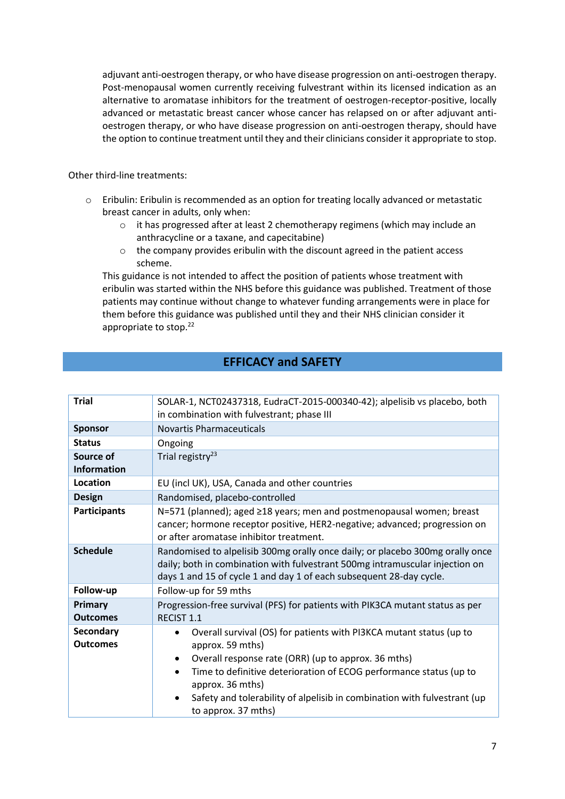adjuvant anti-oestrogen therapy, or who have disease progression on anti-oestrogen therapy. Post-menopausal women currently receiving fulvestrant within its licensed indication as an alternative to aromatase inhibitors for the treatment of oestrogen-receptor-positive, locally advanced or metastatic breast cancer whose cancer has relapsed on or after adjuvant antioestrogen therapy, or who have disease progression on anti-oestrogen therapy, should have the option to continue treatment until they and their clinicians consider it appropriate to stop.

Other third-line treatments:

- o Eribulin: Eribulin is recommended as an option for treating locally advanced or metastatic breast cancer in adults, only when:
	- o it has progressed after at least 2 chemotherapy regimens (which may include an anthracycline or a taxane, and capecitabine)
	- o the company provides eribulin with the discount agreed in the patient access scheme.

This guidance is not intended to affect the position of patients whose treatment with eribulin was started within the NHS before this guidance was published. Treatment of those patients may continue without change to whatever funding arrangements were in place for them before this guidance was published until they and their NHS clinician consider it appropriate to stop.<sup>22</sup>

# **EFFICACY and SAFETY**

| <b>Trial</b>                 | SOLAR-1, NCT02437318, EudraCT-2015-000340-42); alpelisib vs placebo, both<br>in combination with fulvestrant; phase III                                                                                                              |
|------------------------------|--------------------------------------------------------------------------------------------------------------------------------------------------------------------------------------------------------------------------------------|
|                              |                                                                                                                                                                                                                                      |
| <b>Sponsor</b>               | <b>Novartis Pharmaceuticals</b>                                                                                                                                                                                                      |
| <b>Status</b>                | Ongoing                                                                                                                                                                                                                              |
| Source of                    | Trial registry <sup>23</sup>                                                                                                                                                                                                         |
| <b>Information</b>           |                                                                                                                                                                                                                                      |
| Location                     | EU (incl UK), USA, Canada and other countries                                                                                                                                                                                        |
| <b>Design</b>                | Randomised, placebo-controlled                                                                                                                                                                                                       |
| <b>Participants</b>          | N=571 (planned); aged ≥18 years; men and postmenopausal women; breast<br>cancer; hormone receptor positive, HER2-negative; advanced; progression on<br>or after aromatase inhibitor treatment.                                       |
| <b>Schedule</b>              | Randomised to alpelisib 300mg orally once daily; or placebo 300mg orally once<br>daily; both in combination with fulvestrant 500mg intramuscular injection on<br>days 1 and 15 of cycle 1 and day 1 of each subsequent 28-day cycle. |
| Follow-up                    | Follow-up for 59 mths                                                                                                                                                                                                                |
| Primary                      | Progression-free survival (PFS) for patients with PIK3CA mutant status as per                                                                                                                                                        |
| <b>Outcomes</b>              | <b>RECIST 1.1</b>                                                                                                                                                                                                                    |
| Secondary<br><b>Outcomes</b> | Overall survival (OS) for patients with PI3KCA mutant status (up to<br>approx. 59 mths)                                                                                                                                              |
|                              | Overall response rate (ORR) (up to approx. 36 mths)                                                                                                                                                                                  |
|                              | Time to definitive deterioration of ECOG performance status (up to<br>$\bullet$<br>approx. 36 mths)                                                                                                                                  |
|                              | Safety and tolerability of alpelisib in combination with fulvestrant (up<br>to approx. 37 mths)                                                                                                                                      |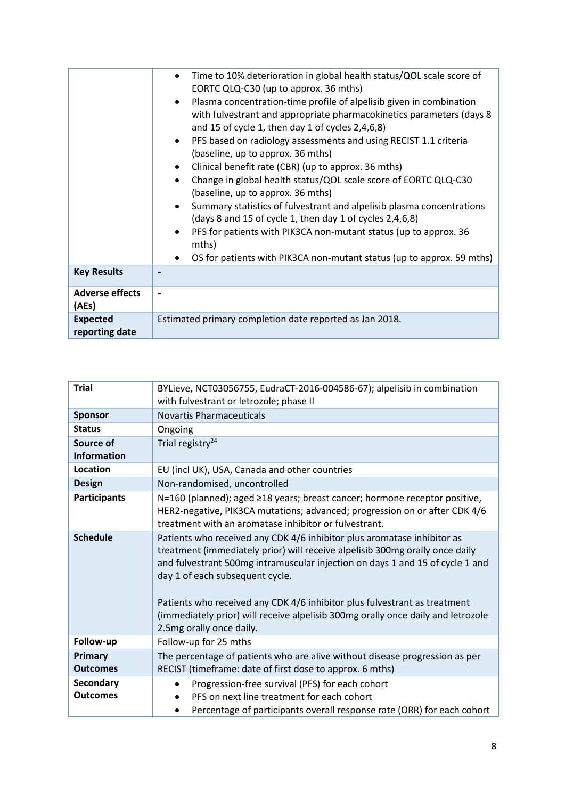|                                   | Time to 10% deterioration in global health status/QOL scale score of<br>EORTC QLQ-C30 (up to approx. 36 mths)<br>Plasma concentration-time profile of alpelisib given in combination<br>with fulvestrant and appropriate pharmacokinetics parameters (days 8<br>and 15 of cycle 1, then day 1 of cycles $2,4,6,8$ )<br>PFS based on radiology assessments and using RECIST 1.1 criteria<br>(baseline, up to approx. 36 mths)<br>Clinical benefit rate (CBR) (up to approx. 36 mths)<br>Change in global health status/QOL scale score of EORTC QLQ-C30<br>(baseline, up to approx. 36 mths)<br>Summary statistics of fulvestrant and alpelisib plasma concentrations<br>(days 8 and 15 of cycle 1, then day 1 of cycles 2,4,6,8)<br>PFS for patients with PIK3CA non-mutant status (up to approx. 36<br>mths)<br>OS for patients with PIK3CA non-mutant status (up to approx. 59 mths) |
|-----------------------------------|----------------------------------------------------------------------------------------------------------------------------------------------------------------------------------------------------------------------------------------------------------------------------------------------------------------------------------------------------------------------------------------------------------------------------------------------------------------------------------------------------------------------------------------------------------------------------------------------------------------------------------------------------------------------------------------------------------------------------------------------------------------------------------------------------------------------------------------------------------------------------------------|
| <b>Key Results</b>                |                                                                                                                                                                                                                                                                                                                                                                                                                                                                                                                                                                                                                                                                                                                                                                                                                                                                                        |
| <b>Adverse effects</b><br>(AEs)   |                                                                                                                                                                                                                                                                                                                                                                                                                                                                                                                                                                                                                                                                                                                                                                                                                                                                                        |
| <b>Expected</b><br>reporting date | Estimated primary completion date reported as Jan 2018.                                                                                                                                                                                                                                                                                                                                                                                                                                                                                                                                                                                                                                                                                                                                                                                                                                |

| <b>Trial</b>                    | BYLieve, NCT03056755, EudraCT-2016-004586-67); alpelisib in combination<br>with fulvestrant or letrozole; phase II                                                                                                                                                                                                                                                                                                                                                       |
|---------------------------------|--------------------------------------------------------------------------------------------------------------------------------------------------------------------------------------------------------------------------------------------------------------------------------------------------------------------------------------------------------------------------------------------------------------------------------------------------------------------------|
| <b>Sponsor</b>                  | <b>Novartis Pharmaceuticals</b>                                                                                                                                                                                                                                                                                                                                                                                                                                          |
| <b>Status</b>                   | Ongoing                                                                                                                                                                                                                                                                                                                                                                                                                                                                  |
| Source of<br><b>Information</b> | Trial registry <sup>24</sup>                                                                                                                                                                                                                                                                                                                                                                                                                                             |
| Location                        | EU (incl UK), USA, Canada and other countries                                                                                                                                                                                                                                                                                                                                                                                                                            |
| <b>Design</b>                   | Non-randomised, uncontrolled                                                                                                                                                                                                                                                                                                                                                                                                                                             |
| <b>Participants</b>             | N=160 (planned); aged ≥18 years; breast cancer; hormone receptor positive,<br>HER2-negative, PIK3CA mutations; advanced; progression on or after CDK 4/6<br>treatment with an aromatase inhibitor or fulvestrant.                                                                                                                                                                                                                                                        |
| <b>Schedule</b>                 | Patients who received any CDK 4/6 inhibitor plus aromatase inhibitor as<br>treatment (immediately prior) will receive alpelisib 300mg orally once daily<br>and fulvestrant 500mg intramuscular injection on days 1 and 15 of cycle 1 and<br>day 1 of each subsequent cycle.<br>Patients who received any CDK 4/6 inhibitor plus fulvestrant as treatment<br>(immediately prior) will receive alpelisib 300mg orally once daily and letrozole<br>2.5mg orally once daily. |
| Follow-up                       | Follow-up for 25 mths                                                                                                                                                                                                                                                                                                                                                                                                                                                    |
| Primary<br><b>Outcomes</b>      | The percentage of patients who are alive without disease progression as per<br>RECIST (timeframe: date of first dose to approx. 6 mths)                                                                                                                                                                                                                                                                                                                                  |
| Secondary<br><b>Outcomes</b>    | Progression-free survival (PFS) for each cohort<br>PFS on next line treatment for each cohort<br>Percentage of participants overall response rate (ORR) for each cohort                                                                                                                                                                                                                                                                                                  |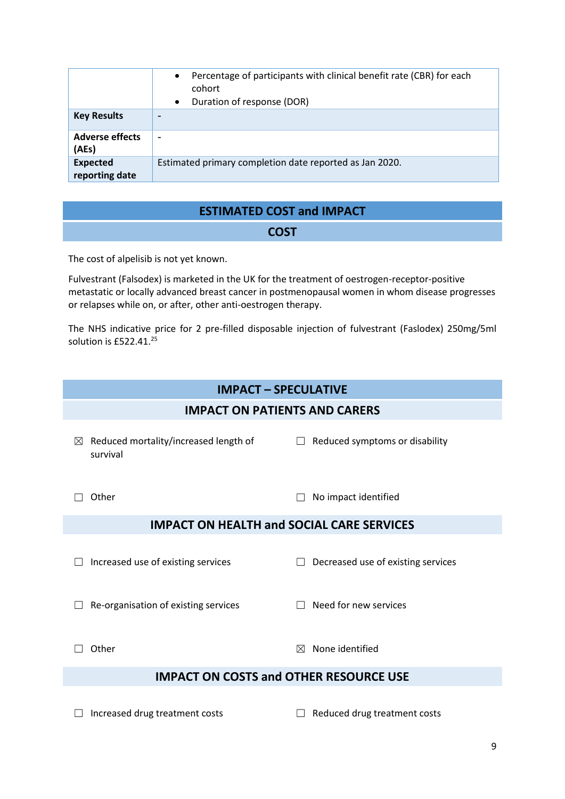|                                   | Percentage of participants with clinical benefit rate (CBR) for each<br>$\bullet$<br>cohort<br>Duration of response (DOR)<br>$\bullet$ |
|-----------------------------------|----------------------------------------------------------------------------------------------------------------------------------------|
| <b>Key Results</b>                | $\overline{\phantom{0}}$                                                                                                               |
| <b>Adverse effects</b><br>(AEs)   | $\overline{\phantom{0}}$                                                                                                               |
| <b>Expected</b><br>reporting date | Estimated primary completion date reported as Jan 2020.                                                                                |

# **ESTIMATED COST and IMPACT**

#### **COST**

The cost of alpelisib is not yet known.

Fulvestrant (Falsodex) is marketed in the UK for the treatment of oestrogen-receptor-positive metastatic or locally advanced breast cancer in postmenopausal women in whom disease progresses or relapses while on, or after, other anti-oestrogen therapy.

The NHS indicative price for 2 pre-filled disposable injection of fulvestrant (Faslodex) 250mg/5ml solution is £522.41.<sup>25</sup>

# **IMPACT – SPECULATIVE**

## **IMPACT ON PATIENTS AND CARERS**

- ☒ Reduced mortality/increased length of survival ☐ Reduced symptoms or disability
- 

☐ Other ☐ No impact identified

# **IMPACT ON HEALTH and SOCIAL CARE SERVICES**

- 
- ☐ Increased use of existing services ☐ Decreased use of existing services

☐ Re-organisation of existing services ☐ Need for new services

 $\Box$  Other  $\boxtimes$  None identified

# **IMPACT ON COSTS and OTHER RESOURCE USE**

☐ Increased drug treatment costs ☐ Reduced drug treatment costs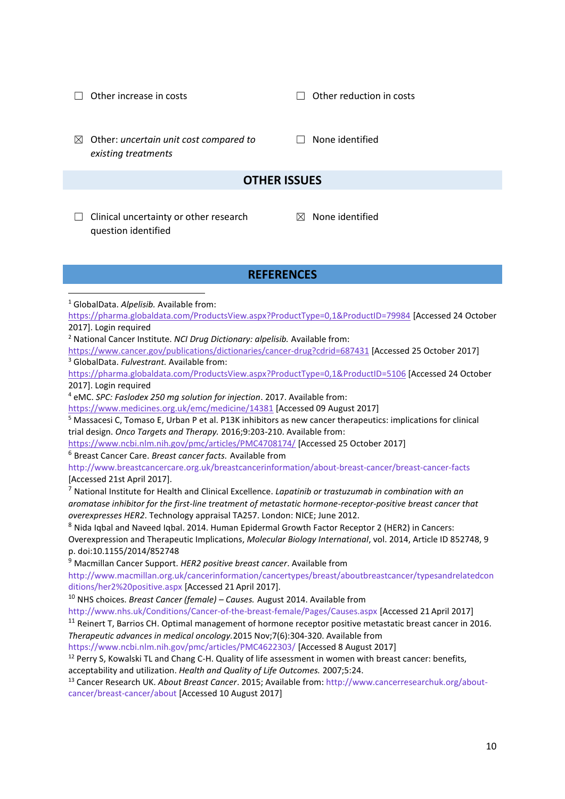☐ Other increase in costs ☐ Other reduction in costs ☒ Other: *uncertain unit cost compared to existing treatments* □ None identified **OTHER ISSUES**

 $\Box$  Clinical uncertainty or other research question identified

 $\boxtimes$  None identified

#### **REFERENCES**

<sup>1</sup> GlobalData. *Alpelisib.* Available from:

1

<https://pharma.globaldata.com/ProductsView.aspx?ProductType=0,1&ProductID=79984> [Accessed 24 October 2017]. Login required

<sup>2</sup> National Cancer Institute. *NCI Drug Dictionary: alpelisib.* Available from:

<https://www.cancer.gov/publications/dictionaries/cancer-drug?cdrid=687431> [Accessed 25 October 2017] <sup>3</sup> GlobalData. *Fulvestrant.* Available from:

<https://pharma.globaldata.com/ProductsView.aspx?ProductType=0,1&ProductID=5106> [Accessed 24 October 2017]. Login required

<sup>4</sup> eMC. *SPC: Faslodex 250 mg solution for injection*. 2017. Available from:

<https://www.medicines.org.uk/emc/medicine/14381> [Accessed 09 August 2017]

<sup>5</sup> Massacesi C, Tomaso E, Urban P et al. P13K inhibitors as new cancer therapeutics: implications for clinical trial design. *Onco Targets and Therapy.* 2016;9:203-210. Available from:

<https://www.ncbi.nlm.nih.gov/pmc/articles/PMC4708174/> [Accessed 25 October 2017]

<sup>6</sup> Breast Cancer Care. *Breast cancer facts.* Available from

http://www.breastcancercare.org.uk/breastcancerinformation/about‐breast‐cancer/breast‐cancer‐facts [Accessed 21st April 2017].

<sup>7</sup> National Institute for Health and Clinical Excellence. *Lapatinib or trastuzumab in combination with an aromatase inhibitor for the first‐line treatment of metastatic hormone‐receptor‐positive breast cancer that overexpresses HER2*. Technology appraisal TA257. London: NICE; June 2012.

<sup>8</sup> Nida Iqbal and Naveed Iqbal. 2014. Human Epidermal Growth Factor Receptor 2 (HER2) in Cancers:

Overexpression and Therapeutic Implications, *Molecular Biology International*, vol. 2014, Article ID 852748, 9 p. doi:10.1155/2014/852748

<sup>9</sup> Macmillan Cancer Support. *HER2 positive breast cancer*. Available from

http://www.macmillan.org.uk/cancerinformation/cancertypes/breast/aboutbreastcancer/typesandrelatedcon ditions/her2%20positive.aspx [Accessed 21 April 2017].

<sup>10</sup> NHS choices. *Breast Cancer (female) – Causes.* August 2014. Available from

http://www.nhs.uk/Conditions/Cancer‐of‐the‐breast‐female/Pages/Causes.aspx [Accessed 21 April 2017]

<sup>11</sup> Reinert T, Barrios CH. Optimal management of hormone receptor positive metastatic breast cancer in 2016. *Therapeutic advances in medical oncology.*2015 Nov;7(6):304‐320. Available from

https://www.ncbi.nlm.nih.gov/pmc/articles/PMC4622303/ [Accessed 8 August 2017]

<sup>12</sup> Perry S, Kowalski TL and Chang C-H. Quality of life assessment in women with breast cancer: benefits, acceptability and utilization. *Health and Quality of Life Outcomes.* 2007;5:24.

<sup>13</sup> Cancer Research UK. *About Breast Cancer*. 2015; Available from: http://www.cancerresearchuk.org/aboutcancer/breast-cancer/about [Accessed 10 August 2017]